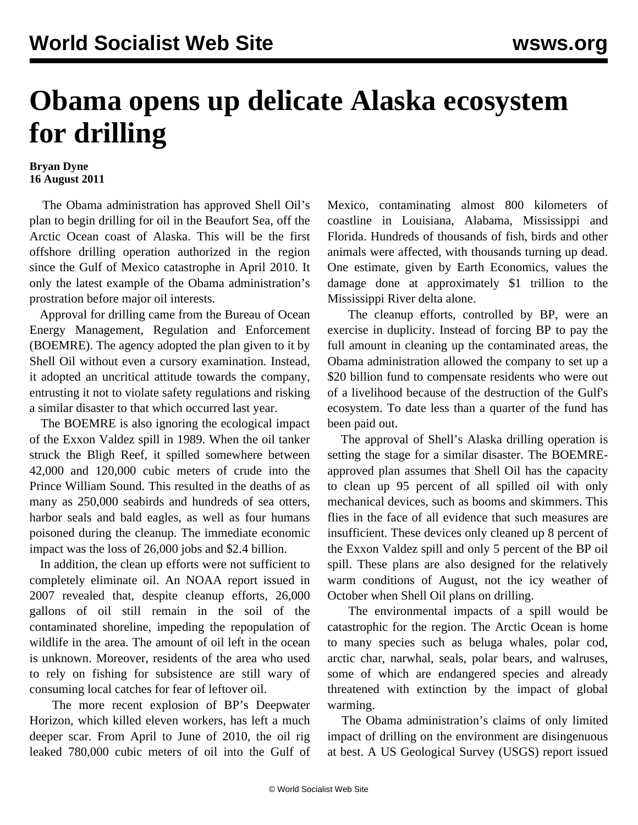## **Obama opens up delicate Alaska ecosystem for drilling**

## **Bryan Dyne 16 August 2011**

 The Obama administration has approved Shell Oil's plan to begin drilling for oil in the Beaufort Sea, off the Arctic Ocean coast of Alaska. This will be the first offshore drilling operation authorized in the region since the Gulf of Mexico catastrophe in April 2010. It only the latest example of the Obama administration's prostration before major oil interests.

 Approval for drilling came from the Bureau of Ocean Energy Management, Regulation and Enforcement (BOEMRE). The agency adopted the plan given to it by Shell Oil without even a cursory examination. Instead, it adopted an uncritical attitude towards the company, entrusting it not to violate safety regulations and risking a similar disaster to that which occurred last year.

 The BOEMRE is also ignoring the ecological impact of the Exxon Valdez spill in 1989. When the oil tanker struck the Bligh Reef, it spilled somewhere between 42,000 and 120,000 cubic meters of crude into the Prince William Sound. This resulted in the deaths of as many as 250,000 seabirds and hundreds of sea otters, harbor seals and bald eagles, as well as four humans poisoned during the cleanup. The immediate economic impact was the loss of 26,000 jobs and \$2.4 billion.

 In addition, the clean up efforts were not sufficient to completely eliminate oil. An NOAA report issued in 2007 revealed that, despite cleanup efforts, 26,000 gallons of oil still remain in the soil of the contaminated shoreline, impeding the repopulation of wildlife in the area. The amount of oil left in the ocean is unknown. Moreover, residents of the area who used to rely on fishing for subsistence are still wary of consuming local catches for fear of leftover oil.

 The more recent explosion of BP's Deepwater Horizon, which killed eleven workers, has left a much deeper scar. From April to June of 2010, the oil rig leaked 780,000 cubic meters of oil into the Gulf of Mexico, contaminating almost 800 kilometers of coastline in Louisiana, Alabama, Mississippi and Florida. Hundreds of thousands of fish, birds and other animals were affected, with thousands turning up dead. One estimate, given by Earth Economics, values the damage done at approximately \$1 trillion to the Mississippi River delta alone.

 The cleanup efforts, controlled by BP, were an exercise in duplicity. Instead of forcing BP to pay the full amount in cleaning up the contaminated areas, the Obama administration allowed the company to set up a \$20 billion fund to compensate residents who were out of a livelihood because of the destruction of the Gulf's ecosystem. To date less than a quarter of the fund has been paid out.

 The approval of Shell's Alaska drilling operation is setting the stage for a similar disaster. The BOEMREapproved plan assumes that Shell Oil has the capacity to clean up 95 percent of all spilled oil with only mechanical devices, such as booms and skimmers. This flies in the face of all evidence that such measures are insufficient. These devices only cleaned up 8 percent of the Exxon Valdez spill and only 5 percent of the BP oil spill. These plans are also designed for the relatively warm conditions of August, not the icy weather of October when Shell Oil plans on drilling.

 The environmental impacts of a spill would be catastrophic for the region. The Arctic Ocean is home to many species such as beluga whales, polar cod, arctic char, narwhal, seals, polar bears, and walruses, some of which are endangered species and already threatened with extinction by the impact of global warming.

 The Obama administration's claims of only limited impact of drilling on the environment are disingenuous at best. A US Geological Survey (USGS) report issued